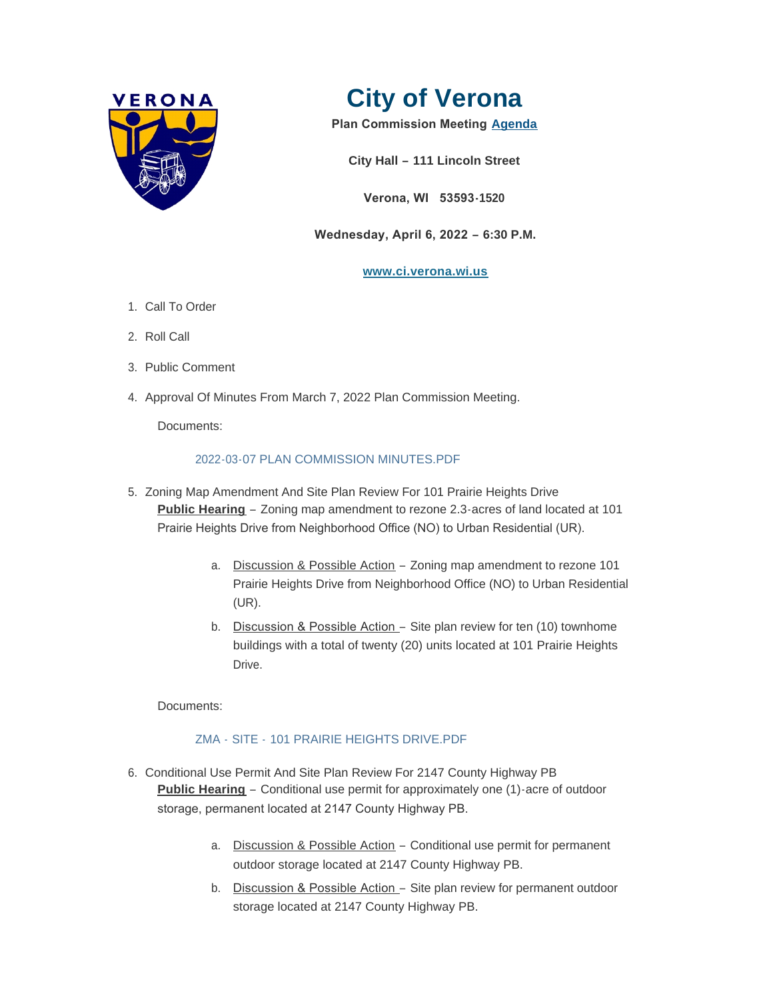



**Plan Commission Meeting [Agenda](http://www.ci.verona.wi.us/DocumentCenter/View/3934/2022-04-06-Plan-Commission-Agenda)**

**City Hall – 111 Lincoln Street**

**Verona, WI 53593-1520**

 **Wednesday, April 6, 2022 – 6:30 P.M.**

### **[www.ci.verona.wi.us](http://www.ci.verona.wi.us/)**

- 1. Call To Order
- 2. Roll Call
- 3. Public Comment
- 4. Approval Of Minutes From March 7, 2022 Plan Commission Meeting.

Documents:

# [2022-03-07 PLAN COMMISSION MINUTES.PDF](http://www.ci.verona.wi.us/AgendaCenter/ViewFile/Item/130?fileID=2984)

- 5. Zoning Map Amendment And Site Plan Review For 101 Prairie Heights Drive **Public Hearing** – Zoning map amendment to rezone 2.3-acres of land located at 101 Prairie Heights Drive from Neighborhood Office (NO) to Urban Residential (UR).
	- a. Discussion & Possible Action Zoning map amendment to rezone 101 Prairie Heights Drive from Neighborhood Office (NO) to Urban Residential (UR).
	- b. Discussion & Possible Action Site plan review for ten (10) townhome buildings with a total of twenty (20) units located at 101 Prairie Heights **Drive**

Documents:

# ZMA - SITE - [101 PRAIRIE HEIGHTS DRIVE.PDF](http://www.ci.verona.wi.us/AgendaCenter/ViewFile/Item/126?fileID=2994)

- 6. Conditional Use Permit And Site Plan Review For 2147 County Highway PB **Public Hearing** – Conditional use permit for approximately one (1)-acre of outdoor storage, permanent located at 2147 County Highway PB.
	- a. Discussion & Possible Action Conditional use permit for permanent outdoor storage located at 2147 County Highway PB.
	- b. Discussion & Possible Action Site plan review for permanent outdoor storage located at 2147 County Highway PB.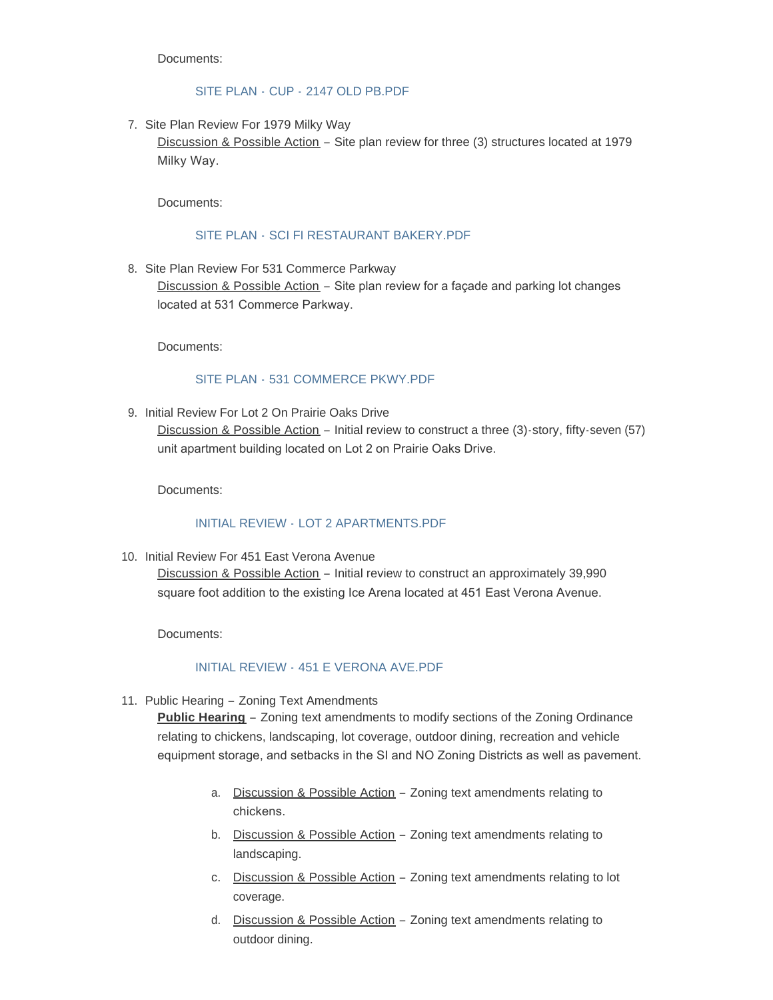Documents:

### SITE PLAN - CUP - [2147 OLD PB.PDF](http://www.ci.verona.wi.us/AgendaCenter/ViewFile/Item/127?fileID=2995)

7. Site Plan Review For 1979 Milky Way

Discussion & Possible Action – Site plan review for three (3) structures located at 1979 Milky Way.

Documents:

### SITE PLAN - [SCI FI RESTAURANT BAKERY.PDF](http://www.ci.verona.wi.us/AgendaCenter/ViewFile/Item/124?fileID=2980)

8. Site Plan Review For 531 Commerce Parkway

Discussion & Possible Action – Site plan review for a façade and parking lot changes located at 531 Commerce Parkway.

Documents:

# SITE PLAN - [531 COMMERCE PKWY.PDF](http://www.ci.verona.wi.us/AgendaCenter/ViewFile/Item/131?fileID=2982)

9. Initial Review For Lot 2 On Prairie Oaks Drive

Discussion & Possible Action – Initial review to construct a three (3)-story, fifty-seven (57) unit apartment building located on Lot 2 on Prairie Oaks Drive.

Documents:

#### INITIAL REVIEW - [LOT 2 APARTMENTS.PDF](http://www.ci.verona.wi.us/AgendaCenter/ViewFile/Item/125?fileID=2981)

10. Initial Review For 451 East Verona Avenue

Discussion & Possible Action – Initial review to construct an approximately 39,990 square foot addition to the existing Ice Arena located at 451 East Verona Avenue.

Documents:

#### INITIAL REVIEW - [451 E VERONA AVE.PDF](http://www.ci.verona.wi.us/AgendaCenter/ViewFile/Item/128?fileID=2983)

11. Public Hearing - Zoning Text Amendments

**Public Hearing** – Zoning text amendments to modify sections of the Zoning Ordinance relating to chickens, landscaping, lot coverage, outdoor dining, recreation and vehicle equipment storage, and setbacks in the SI and NO Zoning Districts as well as pavement.

- a. Discussion & Possible Action Zoning text amendments relating to chickens.
- b. Discussion & Possible Action Zoning text amendments relating to landscaping.
- c. Discussion & Possible Action Zoning text amendments relating to lot coverage.
- d. Discussion & Possible Action Zoning text amendments relating to outdoor dining.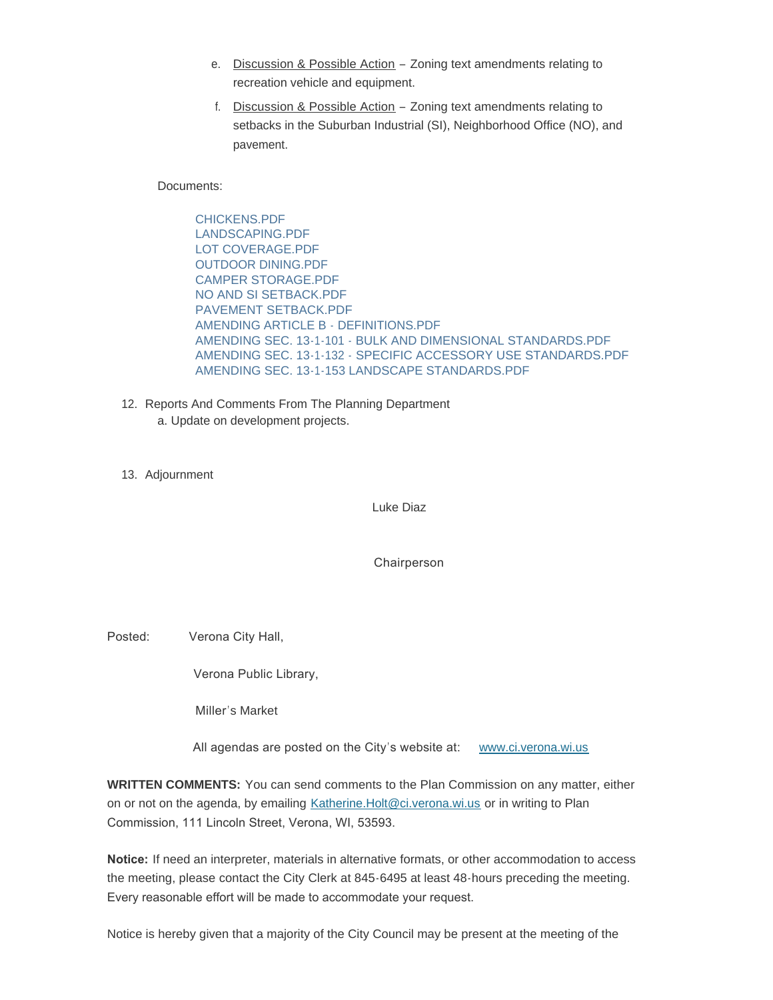- e. Discussion & Possible Action Zoning text amendments relating to recreation vehicle and equipment.
- f. Discussion & Possible Action Zoning text amendments relating to setbacks in the Suburban Industrial (SI), Neighborhood Office (NO), and pavement.

Documents:

[CHICKENS.PDF](http://www.ci.verona.wi.us/AgendaCenter/ViewFile/Item/129?fileID=2998) [LANDSCAPING.PDF](http://www.ci.verona.wi.us/AgendaCenter/ViewFile/Item/129?fileID=2996) [LOT COVERAGE.PDF](http://www.ci.verona.wi.us/AgendaCenter/ViewFile/Item/129?fileID=2985) [OUTDOOR DINING.PDF](http://www.ci.verona.wi.us/AgendaCenter/ViewFile/Item/129?fileID=2987) [CAMPER STORAGE.PDF](http://www.ci.verona.wi.us/AgendaCenter/ViewFile/Item/129?fileID=2989) [NO AND SI SETBACK.PDF](http://www.ci.verona.wi.us/AgendaCenter/ViewFile/Item/129?fileID=2986) [PAVEMENT SETBACK.PDF](http://www.ci.verona.wi.us/AgendaCenter/ViewFile/Item/129?fileID=2988) [AMENDING ARTICLE B - DEFINITIONS.PDF](http://www.ci.verona.wi.us/AgendaCenter/ViewFile/Item/129?fileID=2992) [AMENDING SEC. 13-1-101 - BULK AND DIMENSIONAL STANDARDS.PDF](http://www.ci.verona.wi.us/AgendaCenter/ViewFile/Item/129?fileID=2991) [AMENDING SEC. 13-1-132 - SPECIFIC ACCESSORY USE STANDARDS.PDF](http://www.ci.verona.wi.us/AgendaCenter/ViewFile/Item/129?fileID=2990) [AMENDING SEC. 13-1-153 LANDSCAPE STANDARDS.PDF](http://www.ci.verona.wi.us/AgendaCenter/ViewFile/Item/129?fileID=2997)

- 12. Reports And Comments From The Planning Department a. Update on development projects.
- 13. Adjournment

Luke Diaz

Chairperson

Posted: Verona City Hall,

Verona Public Library,

Miller's Market

All agendas are posted on the City's website at: [www.ci.verona.wi.us](http://www.ci.verona.wi.us/)

**WRITTEN COMMENTS:** You can send comments to the Plan Commission on any matter, either on or not on the agenda, by emailing [Katherine.Holt@ci.verona.wi.us](mailto:Katherine.Holt@ci.verona.wi.us) or in writing to Plan Commission, 111 Lincoln Street, Verona, WI, 53593.

**Notice:** If need an interpreter, materials in alternative formats, or other accommodation to access the meeting, please contact the City Clerk at 845-6495 at least 48-hours preceding the meeting. Every reasonable effort will be made to accommodate your request.

Notice is hereby given that a majority of the City Council may be present at the meeting of the